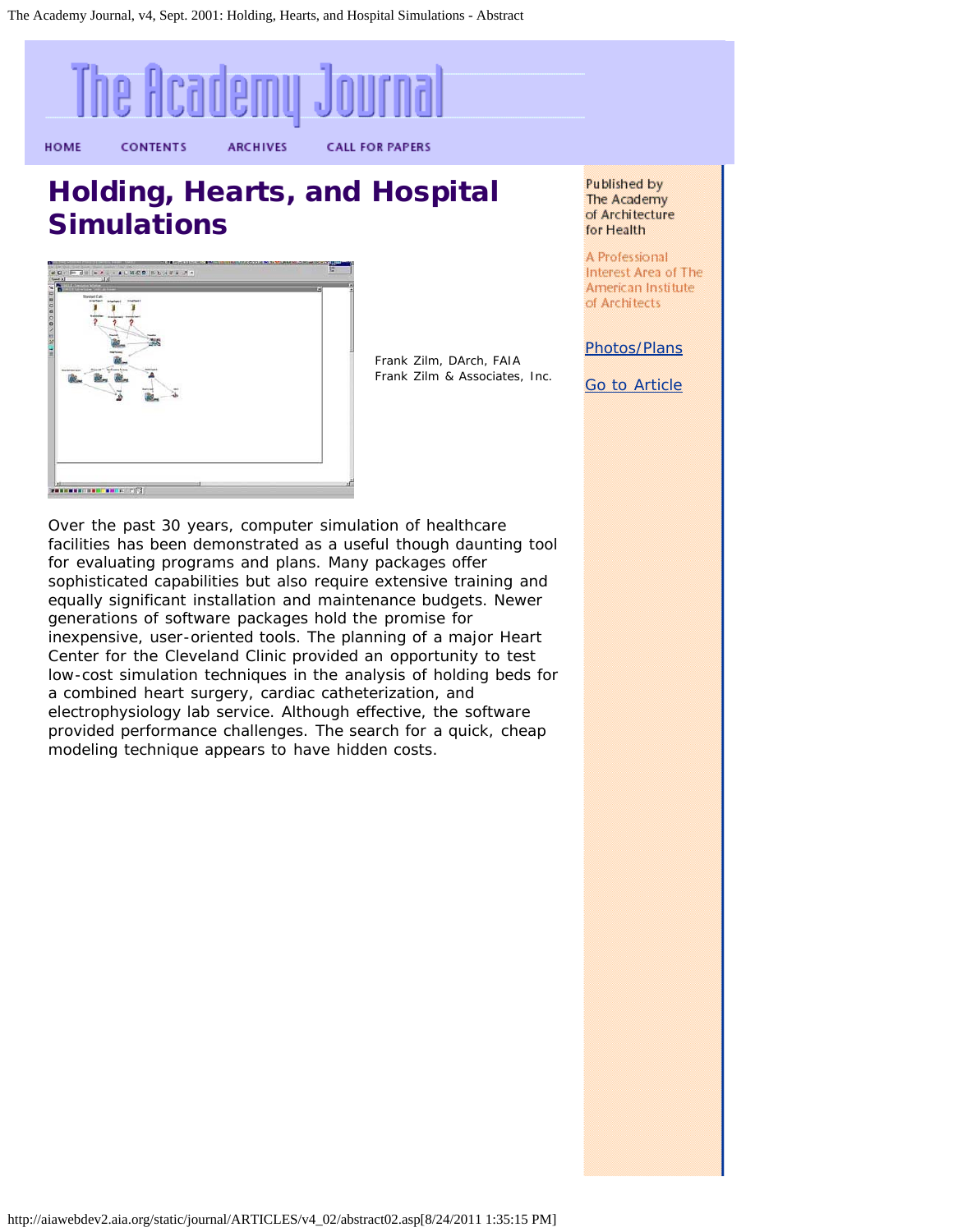<span id="page-0-0"></span>

a combined heart surgery, cardiac catheterization, and electrophysiology lab service. Although effective, the software provided performance challenges. The search for a quick, cheap modeling technique appears to have hidden costs.

Interest Area of The American Institute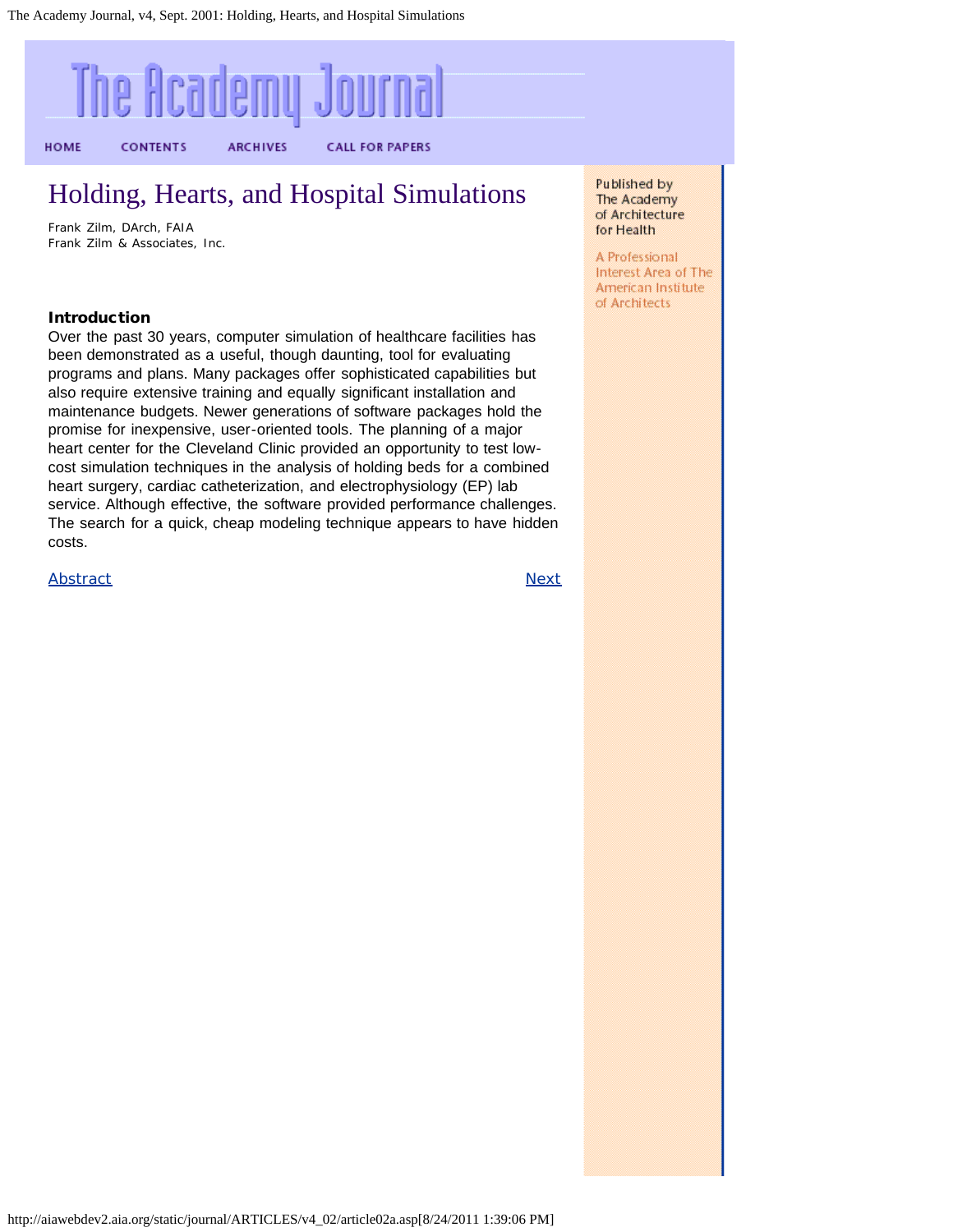# <span id="page-1-0"></span>The Academy Journal

**ARCHIVES** 

HOME

**CONTENTS** 

**CALL FOR PAPERS** 

### Holding, Hearts, and Hospital Simulations

Frank Zilm, DArch, FAIA Frank Zilm & Associates, Inc.

#### Introduction

Over the past 30 years, computer simulation of healthcare facilities has been demonstrated as a useful, though daunting, tool for evaluating programs and plans. Many packages offer sophisticated capabilities but also require extensive training and equally significant installation and maintenance budgets. Newer generations of software packages hold the promise for inexpensive, user-oriented tools. The planning of a major heart center for the Cleveland Clinic provided an opportunity to test lowcost simulation techniques in the analysis of holding beds for a combined heart surgery, cardiac catheterization, and electrophysiology (EP) lab service. Although effective, the software provided performance challenges. The search for a quick, cheap modeling technique appears to have hidden costs.

[Abstract](#page-0-0) [Next](#page-2-0)

Published by The Academy of Architecture for Health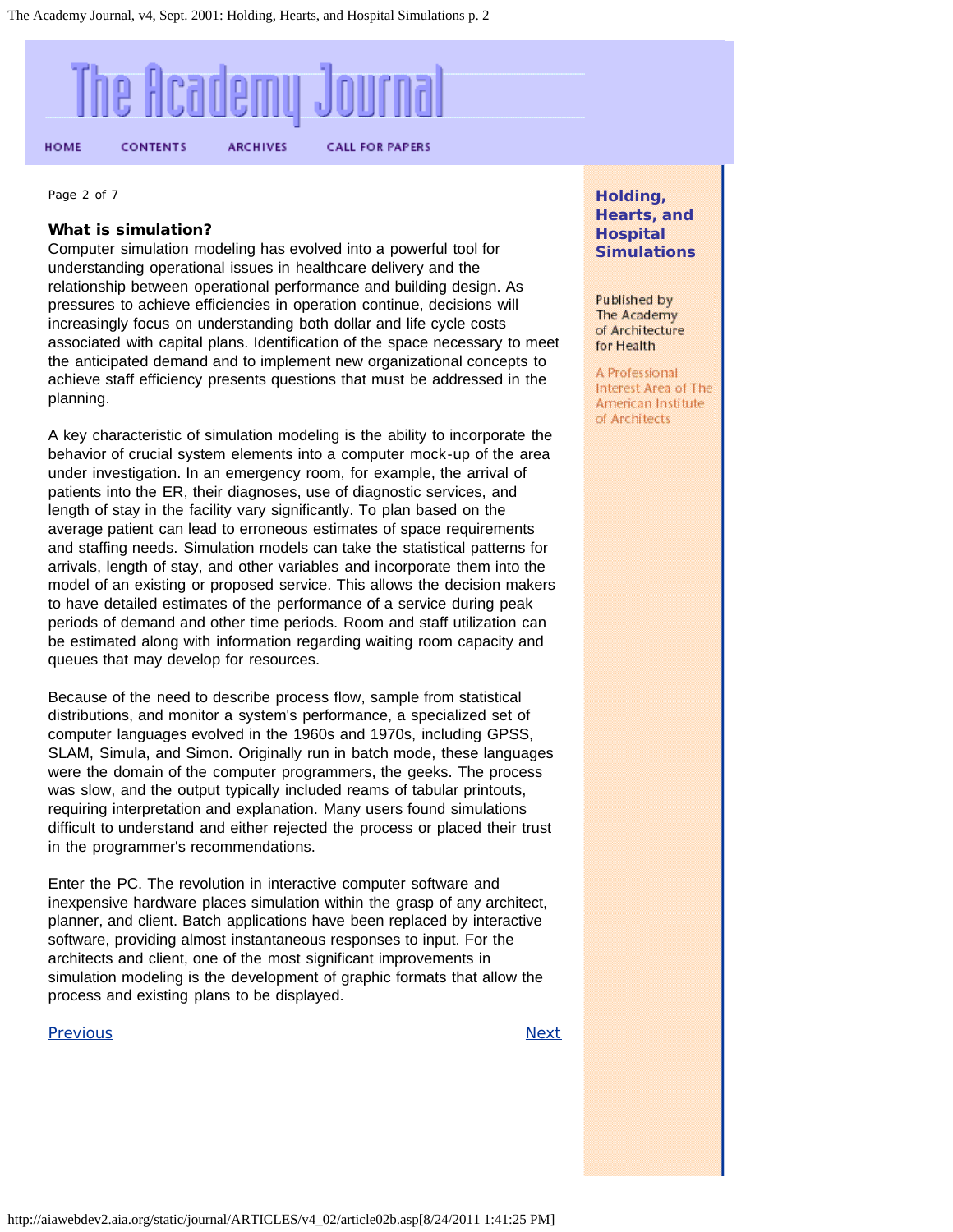<span id="page-2-0"></span>

Page 2 of 7

#### What is simulation?

Computer simulation modeling has evolved into a powerful tool for understanding operational issues in healthcare delivery and the relationship between operational performance and building design. As pressures to achieve efficiencies in operation continue, decisions will increasingly focus on understanding both dollar and life cycle costs associated with capital plans. Identification of the space necessary to meet the anticipated demand and to implement new organizational concepts to achieve staff efficiency presents questions that must be addressed in the planning.

A key characteristic of simulation modeling is the ability to incorporate the behavior of crucial system elements into a computer mock-up of the area under investigation. In an emergency room, for example, the arrival of patients into the ER, their diagnoses, use of diagnostic services, and length of stay in the facility vary significantly. To plan based on the average patient can lead to erroneous estimates of space requirements and staffing needs. Simulation models can take the statistical patterns for arrivals, length of stay, and other variables and incorporate them into the model of an existing or proposed service. This allows the decision makers to have detailed estimates of the performance of a service during peak periods of demand and other time periods. Room and staff utilization can be estimated along with information regarding waiting room capacity and queues that may develop for resources.

Because of the need to describe process flow, sample from statistical distributions, and monitor a system's performance, a specialized set of computer languages evolved in the 1960s and 1970s, including GPSS, SLAM, Simula, and Simon. Originally run in batch mode, these languages were the domain of the computer programmers, the geeks. The process was slow, and the output typically included reams of tabular printouts, requiring interpretation and explanation. Many users found simulations difficult to understand and either rejected the process or placed their trust in the programmer's recommendations.

Enter the PC. The revolution in interactive computer software and inexpensive hardware places simulation within the grasp of any architect, planner, and client. Batch applications have been replaced by interactive software, providing almost instantaneous responses to input. For the architects and client, one of the most significant improvements in simulation modeling is the development of graphic formats that allow the process and existing plans to be displayed.

#### [Previous](#page-1-0) [Next](#page-3-0)

**Holding, Hearts, and Hospital Simulations**

Published by The Academy of Architecture for Health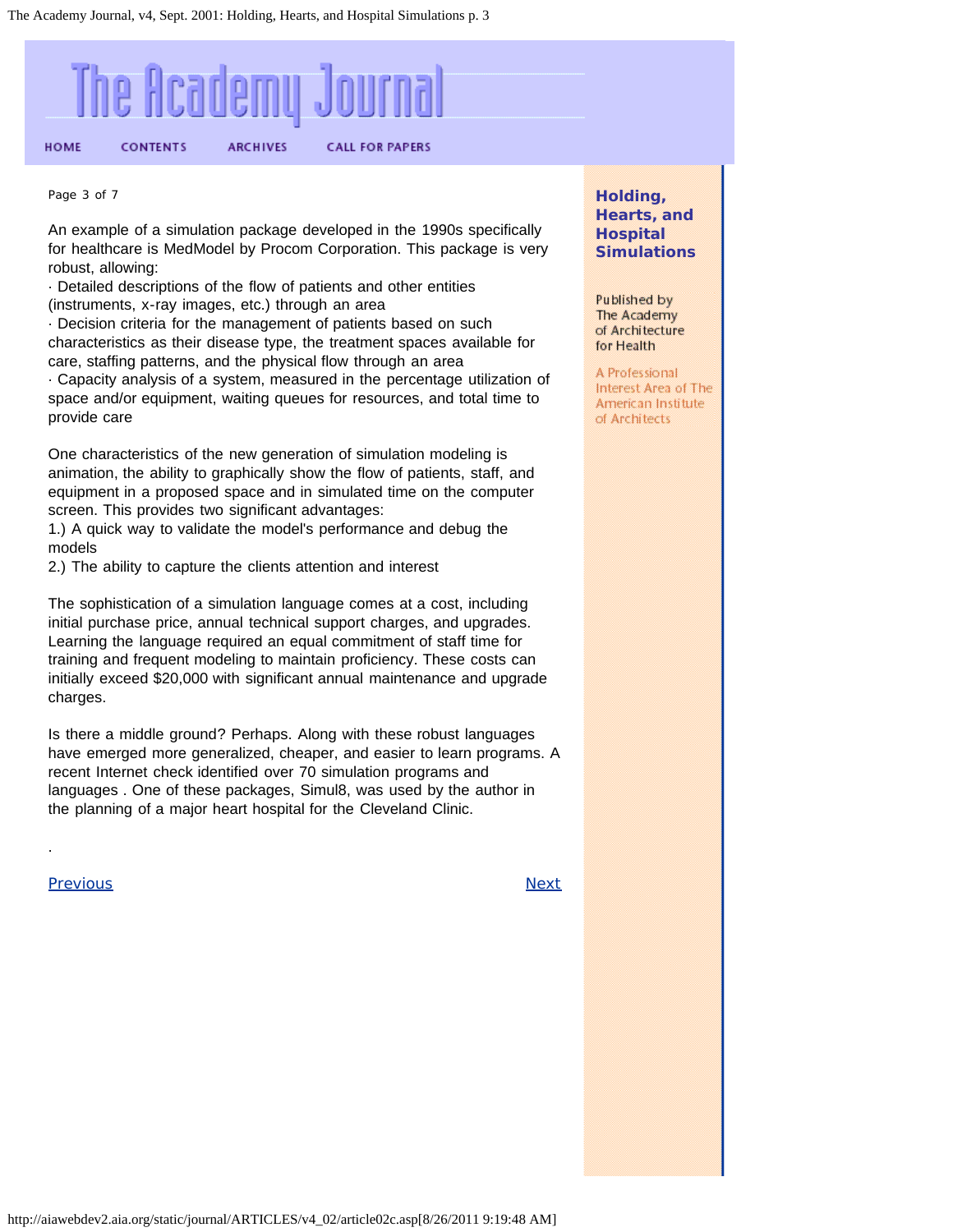<span id="page-3-0"></span>

Page 3 of 7

An example of a simulation package developed in the 1990s specifically for healthcare is MedModel by Procom Corporation. This package is very robust, allowing:

· Detailed descriptions of the flow of patients and other entities (instruments, x-ray images, etc.) through an area

· Decision criteria for the management of patients based on such characteristics as their disease type, the treatment spaces available for care, staffing patterns, and the physical flow through an area · Capacity analysis of a system, measured in the percentage utilization of space and/or equipment, waiting queues for resources, and total time to provide care

One characteristics of the new generation of simulation modeling is animation, the ability to graphically show the flow of patients, staff, and equipment in a proposed space and in simulated time on the computer screen. This provides two significant advantages:

1.) A quick way to validate the model's performance and debug the models

2.) The ability to capture the clients attention and interest

The sophistication of a simulation language comes at a cost, including initial purchase price, annual technical support charges, and upgrades. Learning the language required an equal commitment of staff time for training and frequent modeling to maintain proficiency. These costs can initially exceed \$20,000 with significant annual maintenance and upgrade charges.

Is there a middle ground? Perhaps. Along with these robust languages have emerged more generalized, cheaper, and easier to learn programs. A recent Internet check identified over 70 simulation programs and languages . One of these packages, Simul8, was used by the author in the planning of a major heart hospital for the Cleveland Clinic.

<u>[Previous](#page-2-0) [Next](#page-4-0)</u>

.

**Holding, Hearts, and Hospital Simulations**

Published by The Academy of Architecture for Health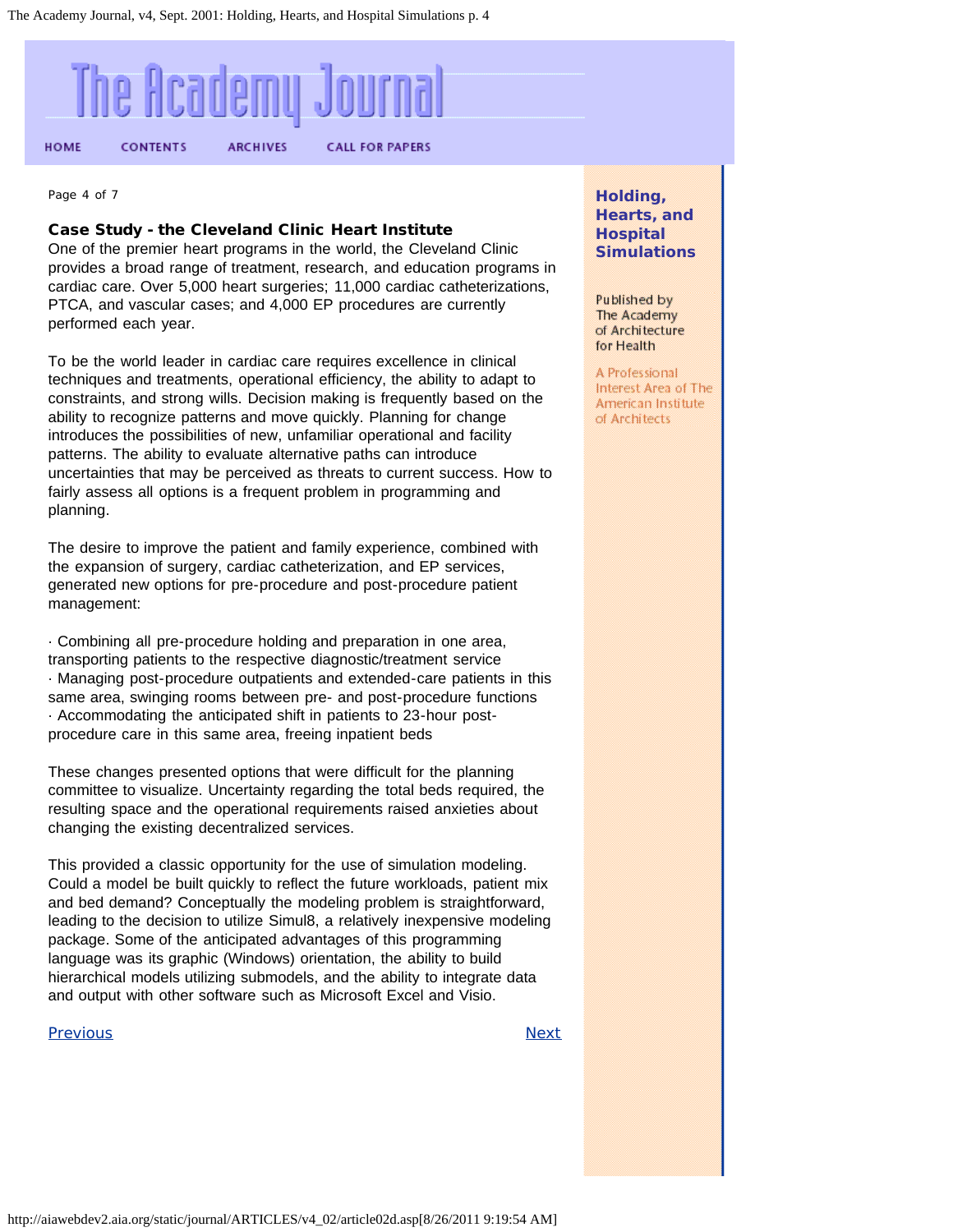<span id="page-4-0"></span>

Page 4 of 7

#### Case Study - the Cleveland Clinic Heart Institute

One of the premier heart programs in the world, the Cleveland Clinic provides a broad range of treatment, research, and education programs in cardiac care. Over 5,000 heart surgeries; 11,000 cardiac catheterizations, PTCA, and vascular cases; and 4,000 EP procedures are currently performed each year.

To be the world leader in cardiac care requires excellence in clinical techniques and treatments, operational efficiency, the ability to adapt to constraints, and strong wills. Decision making is frequently based on the ability to recognize patterns and move quickly. Planning for change introduces the possibilities of new, unfamiliar operational and facility patterns. The ability to evaluate alternative paths can introduce uncertainties that may be perceived as threats to current success. How to fairly assess all options is a frequent problem in programming and planning.

The desire to improve the patient and family experience, combined with the expansion of surgery, cardiac catheterization, and EP services, generated new options for pre-procedure and post-procedure patient management:

· Combining all pre-procedure holding and preparation in one area, transporting patients to the respective diagnostic/treatment service · Managing post-procedure outpatients and extended-care patients in this same area, swinging rooms between pre- and post-procedure functions · Accommodating the anticipated shift in patients to 23-hour postprocedure care in this same area, freeing inpatient beds

These changes presented options that were difficult for the planning committee to visualize. Uncertainty regarding the total beds required, the resulting space and the operational requirements raised anxieties about changing the existing decentralized services.

This provided a classic opportunity for the use of simulation modeling. Could a model be built quickly to reflect the future workloads, patient mix and bed demand? Conceptually the modeling problem is straightforward, leading to the decision to utilize Simul8, a relatively inexpensive modeling package. Some of the anticipated advantages of this programming language was its graphic (Windows) orientation, the ability to build hierarchical models utilizing submodels, and the ability to integrate data and output with other software such as Microsoft Excel and Visio.

#### [Previous](#page-3-0) [Next](#page-5-0)

**Holding, Hearts, and Hospital Simulations**

Published by The Academy of Architecture for Health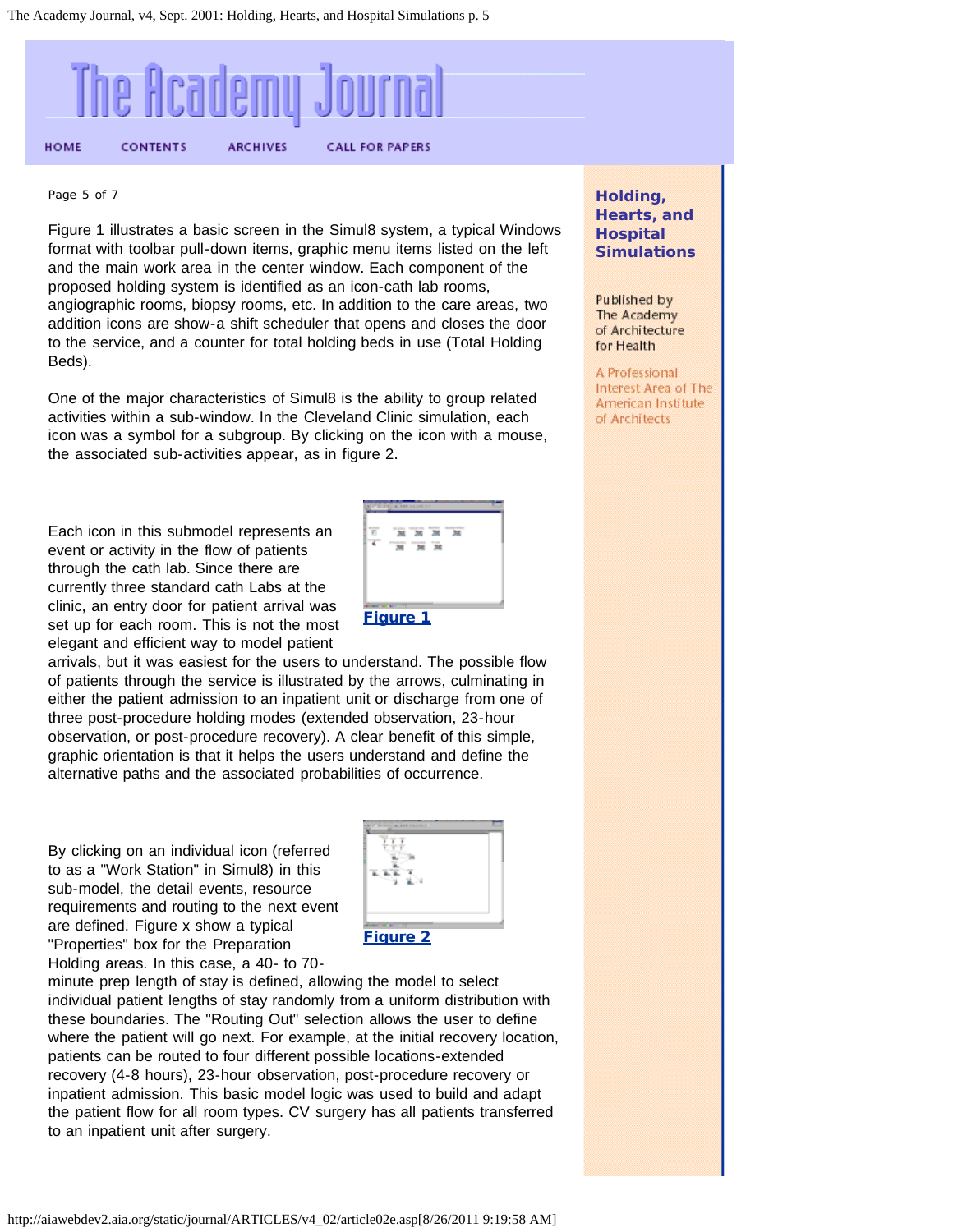<span id="page-5-0"></span>

#### Page 5 of 7

Figure 1 illustrates a basic screen in the Simul8 system, a typical Windows format with toolbar pull-down items, graphic menu items listed on the left and the main work area in the center window. Each component of the proposed holding system is identified as an icon-cath lab rooms, angiographic rooms, biopsy rooms, etc. In addition to the care areas, two addition icons are show-a shift scheduler that opens and closes the door to the service, and a counter for total holding beds in use (Total Holding Beds).

One of the major characteristics of Simul8 is the ability to group related activities within a sub-window. In the Cleveland Clinic simulation, each icon was a symbol for a subgroup. By clicking on the icon with a mouse, the associated sub-activities appear, as in figure 2.

Each icon in this submodel represents an event or activity in the flow of patients through the cath lab. Since there are currently three standard cath Labs at the clinic, an entry door for patient arrival was set up for each room. This is not the most elegant and efficient way to model patient



arrivals, but it was easiest for the users to understand. The possible flow of patients through the service is illustrated by the arrows, culminating in either the patient admission to an inpatient unit or discharge from one of three post-procedure holding modes (extended observation, 23-hour observation, or post-procedure recovery). A clear benefit of this simple, graphic orientation is that it helps the users understand and define the alternative paths and the associated probabilities of occurrence.

By clicking on an individual icon (referred to as a "Work Station" in Simul8) in this sub-model, the detail events, resource requirements and routing to the next event are defined. Figure x show a typical "Properties" box for the Preparation Holding areas. In this case, a 40- to 70-



#### [Figure 2](http://aiawebdev2.aia.org/static/journal/ARTICLES/v4_02/images/2a.asp)

minute prep length of stay is defined, allowing the model to select individual patient lengths of stay randomly from a uniform distribution with these boundaries. The "Routing Out" selection allows the user to define where the patient will go next. For example, at the initial recovery location, patients can be routed to four different possible locations-extended recovery (4-8 hours), 23-hour observation, post-procedure recovery or inpatient admission. This basic model logic was used to build and adapt the patient flow for all room types. CV surgery has all patients transferred to an inpatient unit after surgery.

**Holding, Hearts, and Hospital Simulations**

Published by The Academy of Architecture for Health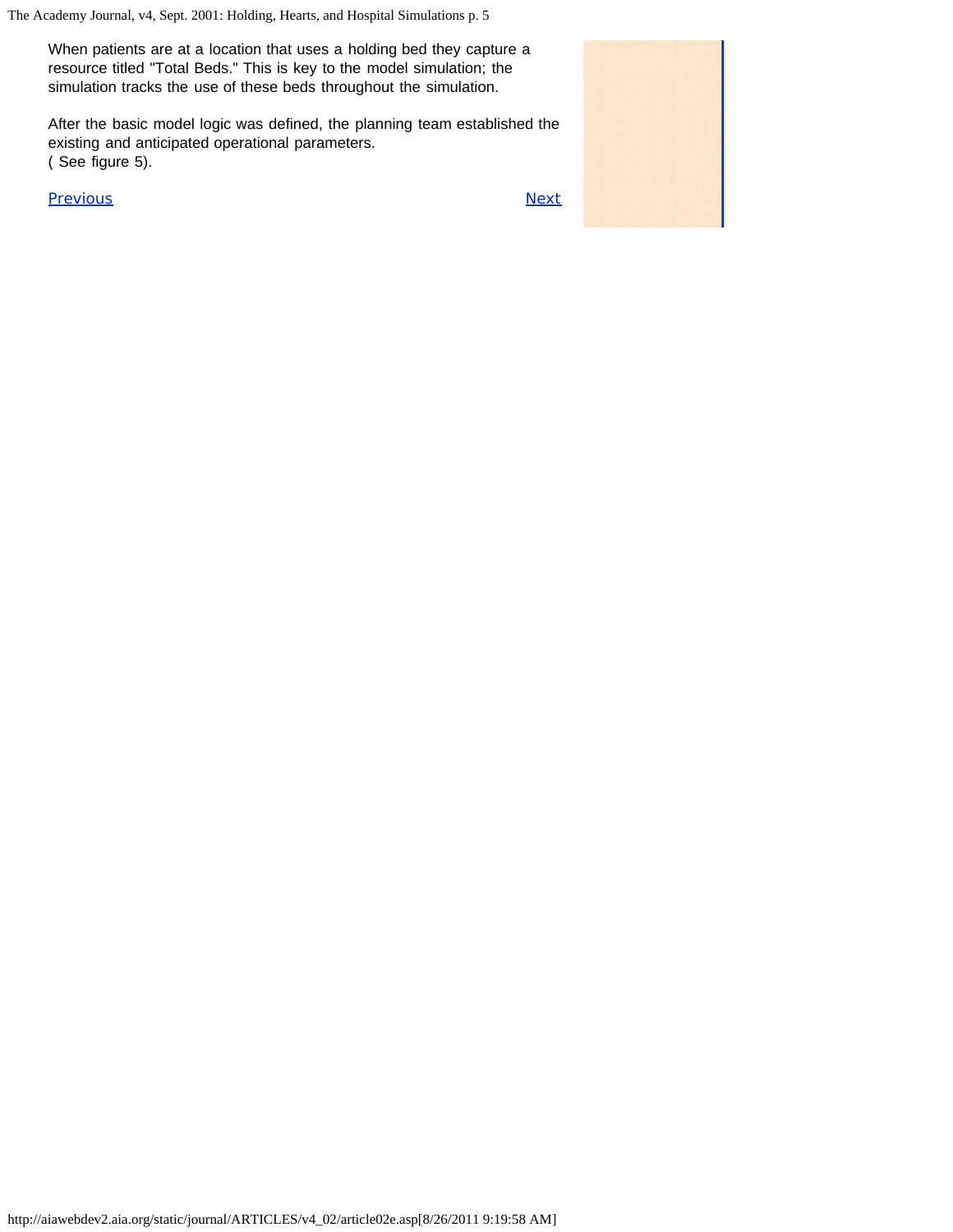When patients are at a location that uses a holding bed they capture a resource titled "Total Beds." This is key to the model simulation; the simulation tracks the use of these beds throughout the simulation.

After the basic model logic was defined, the planning team established the existing and anticipated operational parameters. ( See figure 5).

[Previous](#page-4-0) [Next](#page-7-0)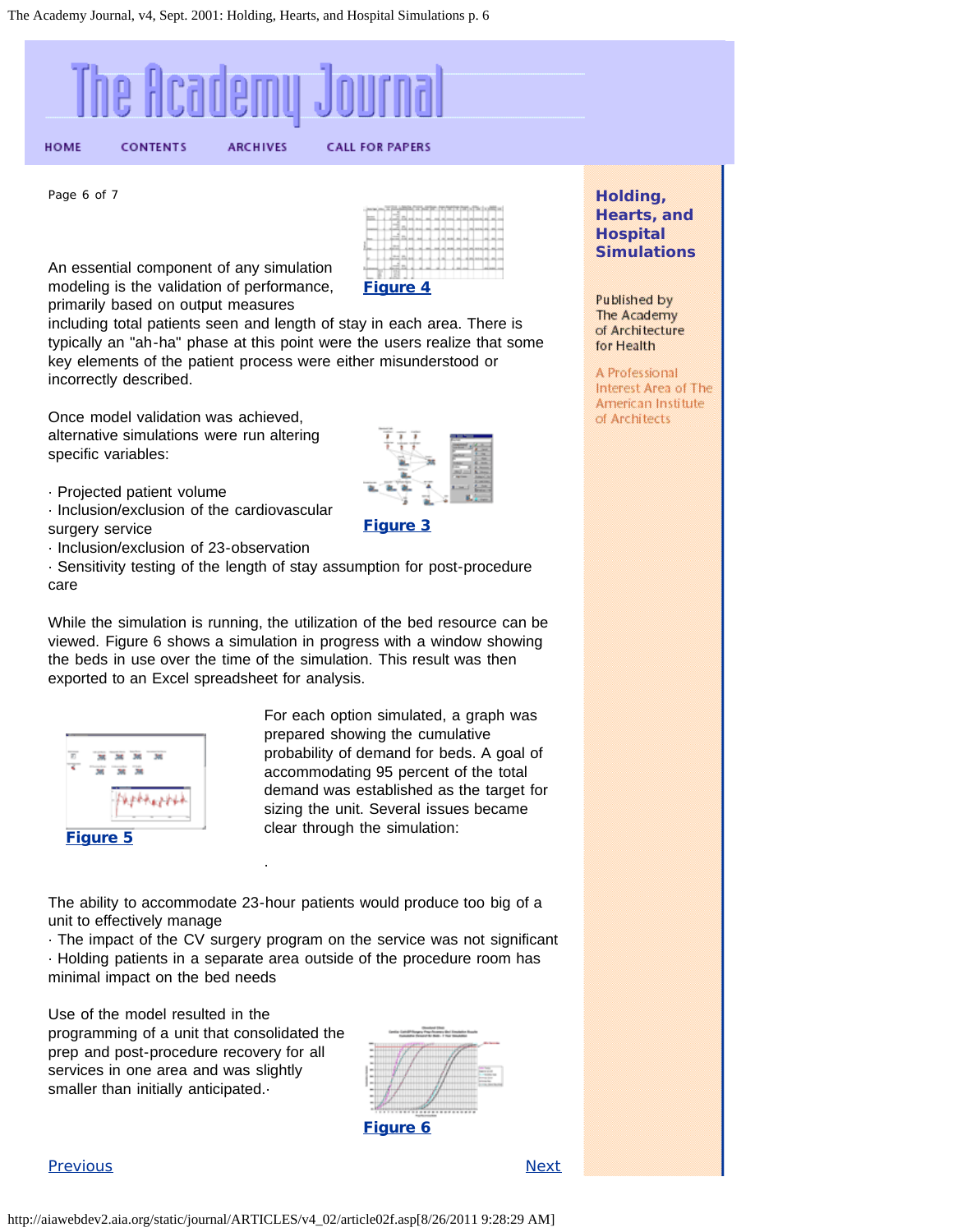<span id="page-7-0"></span>

Page 6 of 7



An essential component of any simulation modeling is the validation of performance, primarily based on output measures

including total patients seen and length of stay in each area. There is typically an "ah-ha" phase at this point were the users realize that some key elements of the patient process were either misunderstood or incorrectly described.

Once model validation was achieved, alternative simulations were run altering specific variables:



- · Inclusion/exclusion of the cardiovascular surgery service
- · Inclusion/exclusion of 23-observation

· Sensitivity testing of the length of stay assumption for post-procedure care

While the simulation is running, the utilization of the bed resource can be viewed. Figure 6 shows a simulation in progress with a window showing the beds in use over the time of the simulation. This result was then exported to an Excel spreadsheet for analysis.



For each option simulated, a graph was prepared showing the cumulative probability of demand for beds. A goal of accommodating 95 percent of the total demand was established as the target for sizing the unit. Several issues became clear through the simulation:

[Figure 3](http://aiawebdev2.aia.org/static/journal/ARTICLES/v4_02/images/3a.asp)

The ability to accommodate 23-hour patients would produce too big of a unit to effectively manage

·

· The impact of the CV surgery program on the service was not significant · Holding patients in a separate area outside of the procedure room has minimal impact on the bed needs

Use of the model resulted in the programming of a unit that consolidated the prep and post-procedure recovery for all services in one area and was slightly smaller than initially anticipated.



**[Figure 6](http://aiawebdev2.aia.org/static/journal/ARTICLES/v4_02/images/5a.asp)** 

#### [Previous](#page-5-0) [Next](#page-8-0)

**Holding, Hearts, and Hospital Simulations**

Published by The Academy of Architecture for Health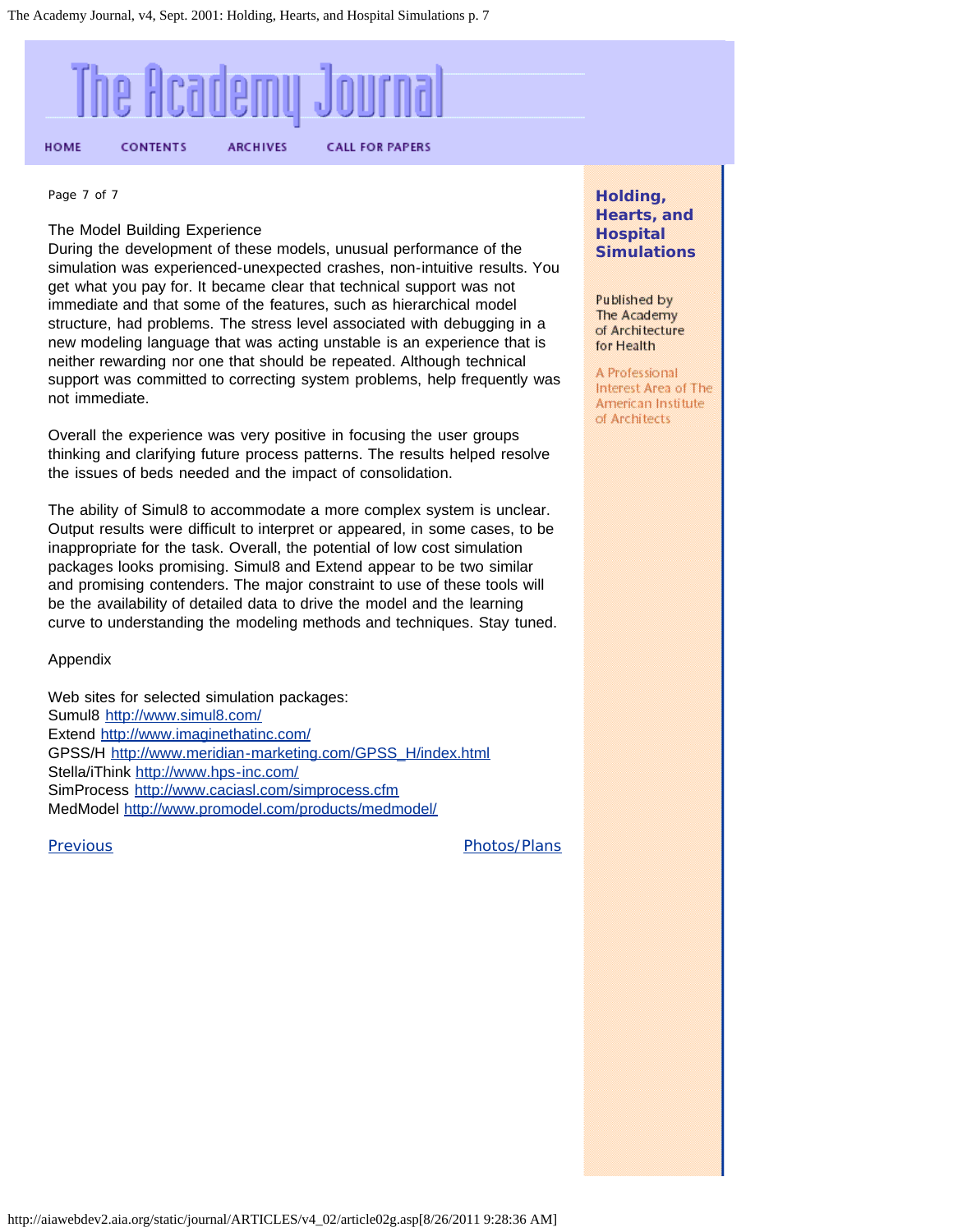<span id="page-8-0"></span>

Page 7 of 7

#### The Model Building Experience

During the development of these models, unusual performance of the simulation was experienced-unexpected crashes, non-intuitive results. You get what you pay for. It became clear that technical support was not immediate and that some of the features, such as hierarchical model structure, had problems. The stress level associated with debugging in a new modeling language that was acting unstable is an experience that is neither rewarding nor one that should be repeated. Although technical support was committed to correcting system problems, help frequently was not immediate.

Overall the experience was very positive in focusing the user groups thinking and clarifying future process patterns. The results helped resolve the issues of beds needed and the impact of consolidation.

The ability of Simul8 to accommodate a more complex system is unclear. Output results were difficult to interpret or appeared, in some cases, to be inappropriate for the task. Overall, the potential of low cost simulation packages looks promising. Simul8 and Extend appear to be two similar and promising contenders. The major constraint to use of these tools will be the availability of detailed data to drive the model and the learning curve to understanding the modeling methods and techniques. Stay tuned.

Appendix

Web sites for selected simulation packages: Sumul8 <http://www.simul8.com/> Extend <http://www.imaginethatinc.com/> GPSS/H [http://www.meridian-marketing.com/GPSS\\_H/index.html](http://www.meridian-marketing.com/GPSS_H/index.html) Stella/iThink <http://www.hps-inc.com/> SimProcess <http://www.caciasl.com/simprocess.cfm> MedModel <http://www.promodel.com/products/medmodel/>

[Previous](#page-7-0) **Previous** [Photos/Plans](#page-9-0)

**Holding, Hearts, and Hospital Simulations**

Published by The Academy of Architecture for Health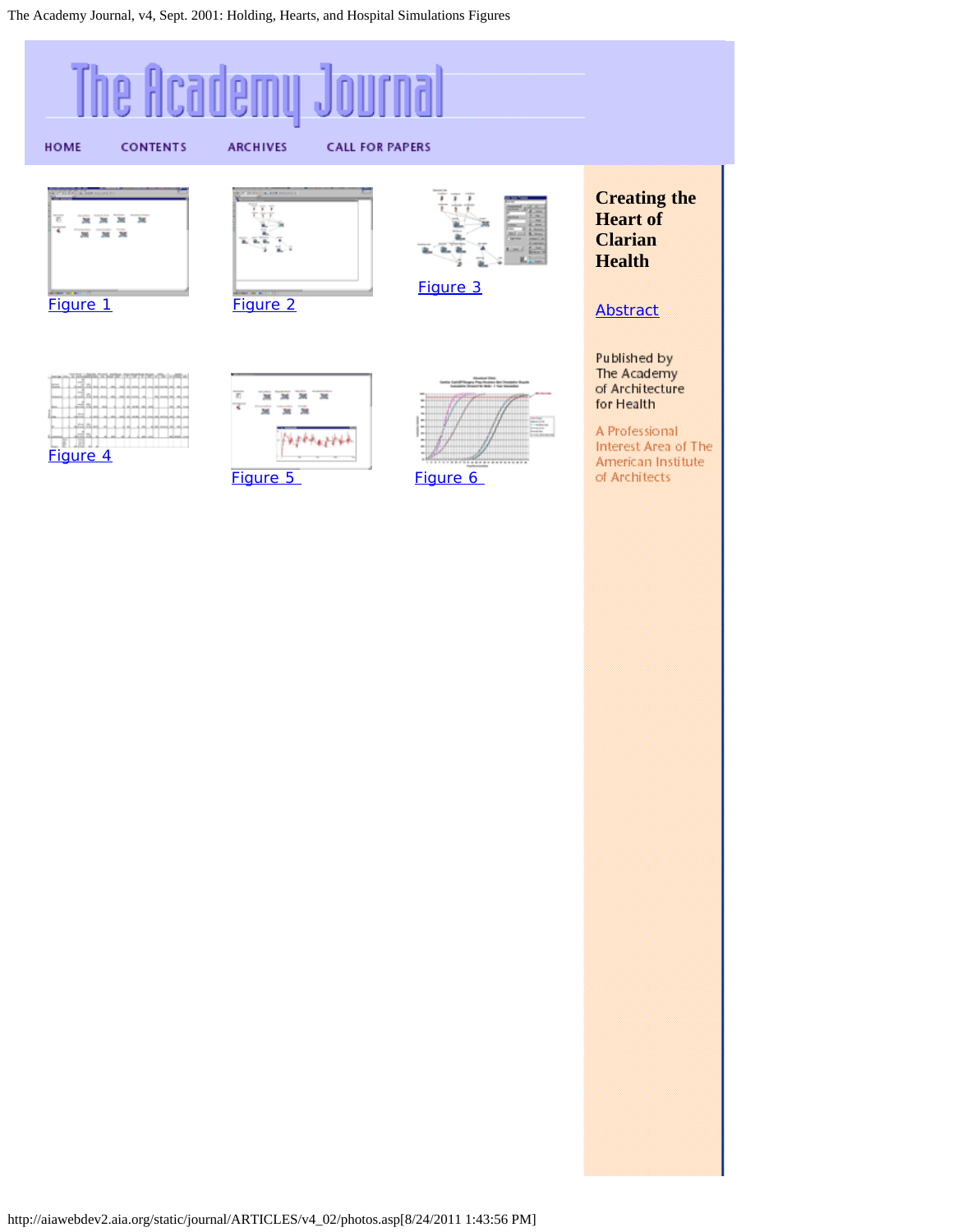<span id="page-9-0"></span>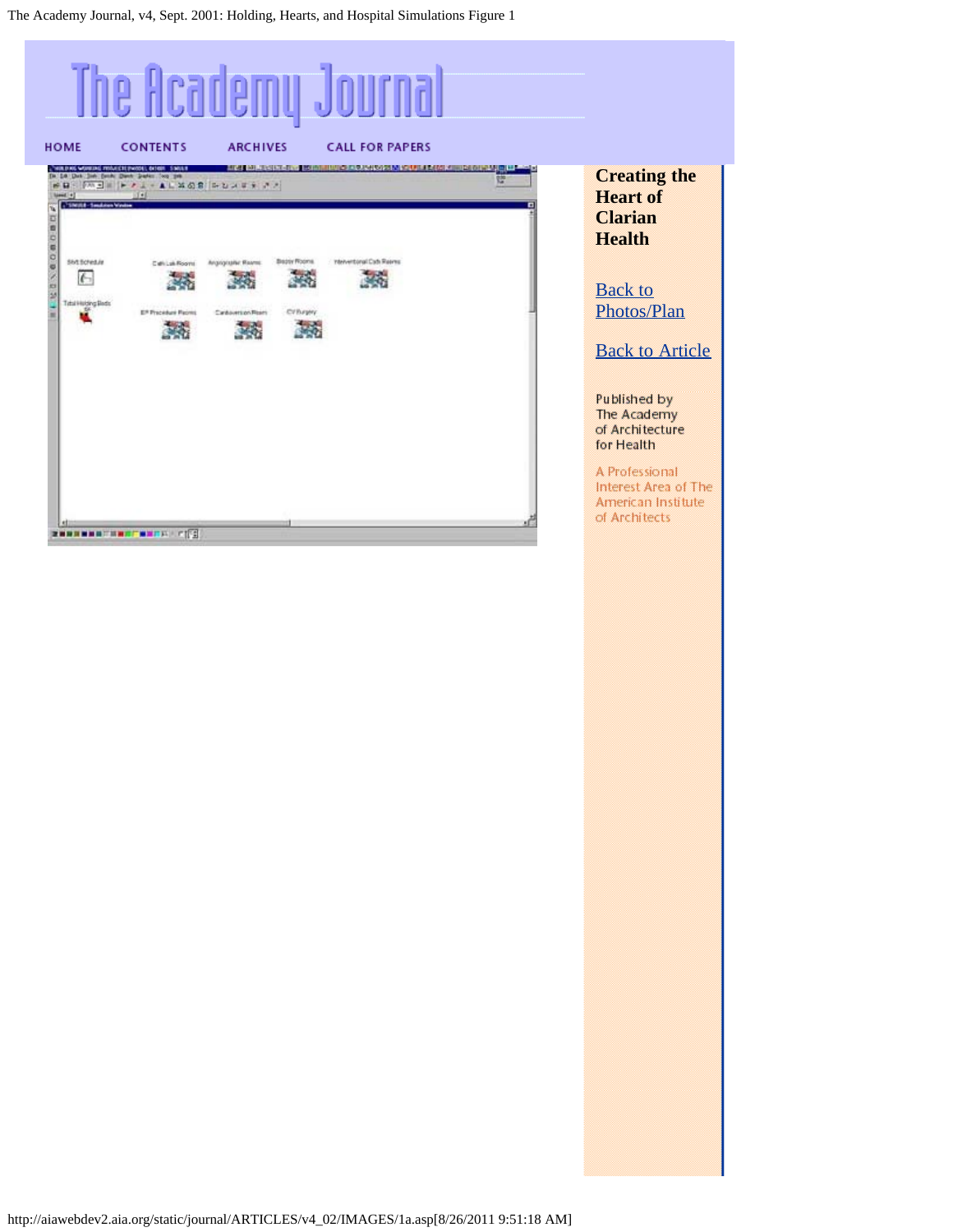<span id="page-10-0"></span>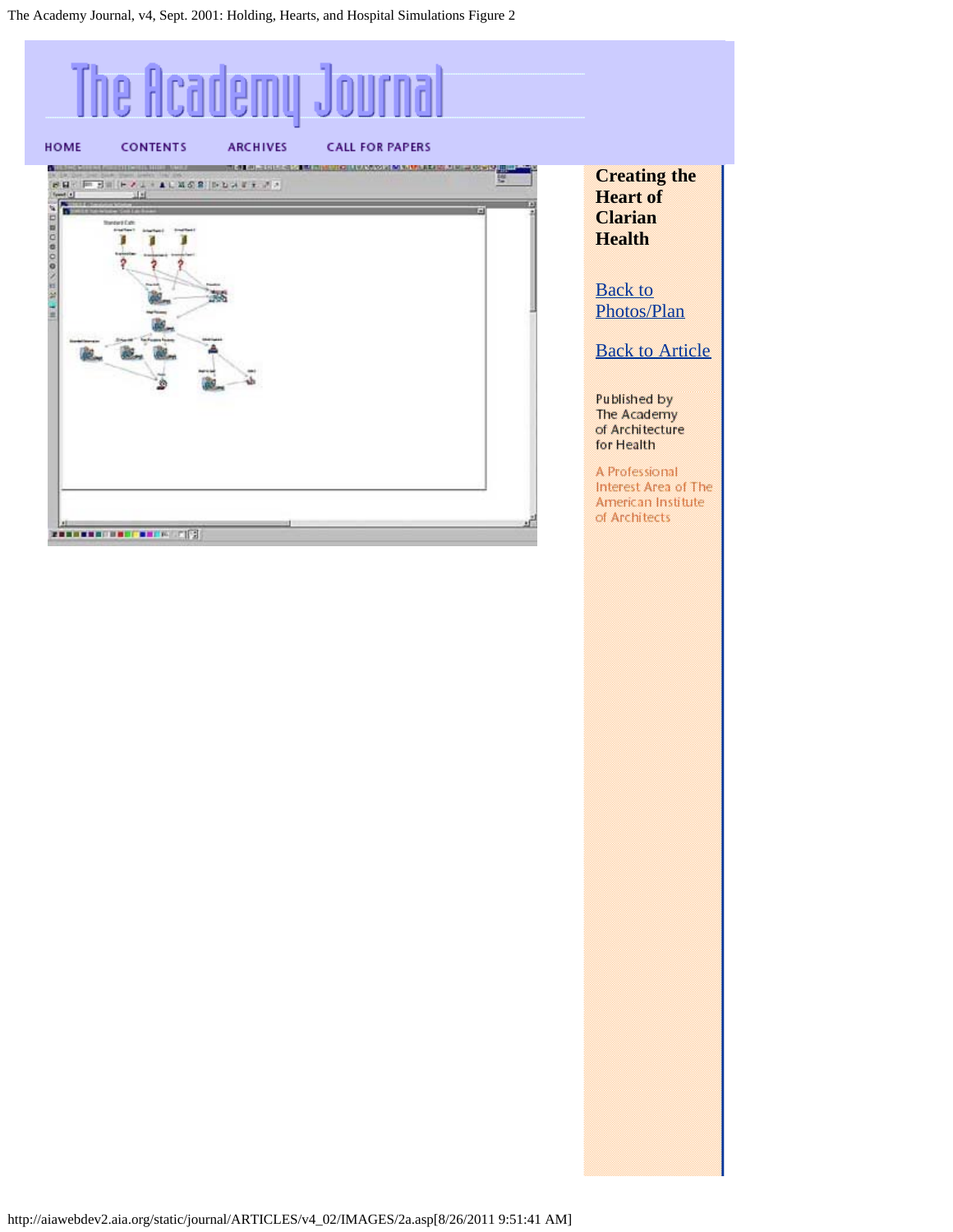<span id="page-11-0"></span>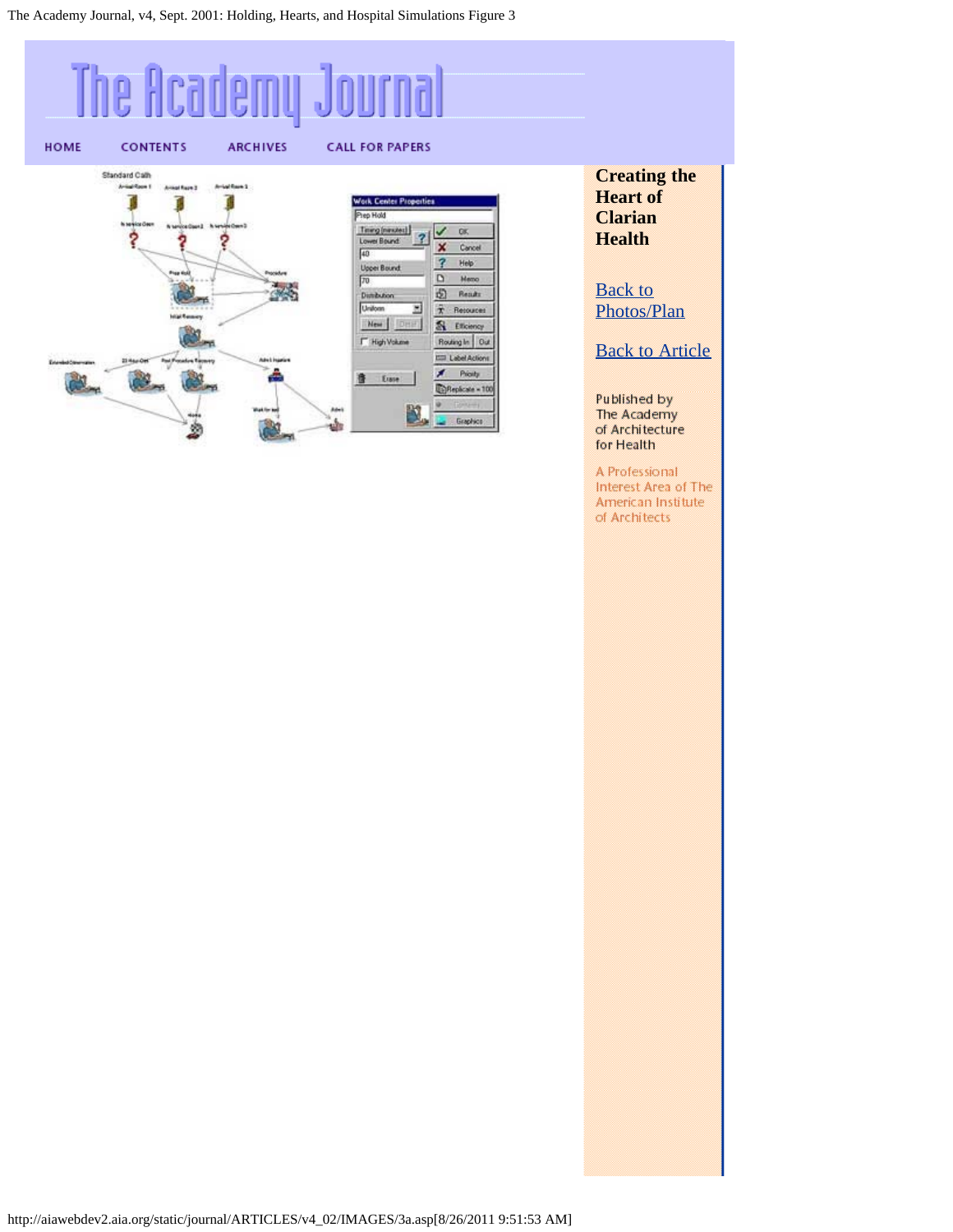#### <span id="page-12-0"></span>The Academy Jo HOME **CONTENTS ARCHIVES CALL FOR PAPERS** Standard Calh Arrival Room 3 Antiquity T **Work Center Pro** T Prep Hold Timing (nanutes)  $\sqrt{8}$  $\overline{2}$ ? ş Lower Bound × Cancel  $\sqrt{40}$  $\overline{?}$ Help Uppe  $\sqrt{70}$  $\hbox{D}$ **Heno**  $\mathcal{A}$  $\overline{12}$  Reads Dimibution Uniform Ξ  $\bar{x}$  Resources New Dry S Efterney F. High Volume Routing In Out **ED LabelActions**  $A$  Pioly a. Erase 遀 DReplicate = 100 N, Graphics وف ø

**Creating the Heart of Clarian Health**

**[Back to](#page-9-0)** [Photos/Plan](#page-9-0)

**[Back to Article](#page-7-0)** 

Published by

The Academy

of Architecture for Health A Professional Interest Area of The American Institute of Architects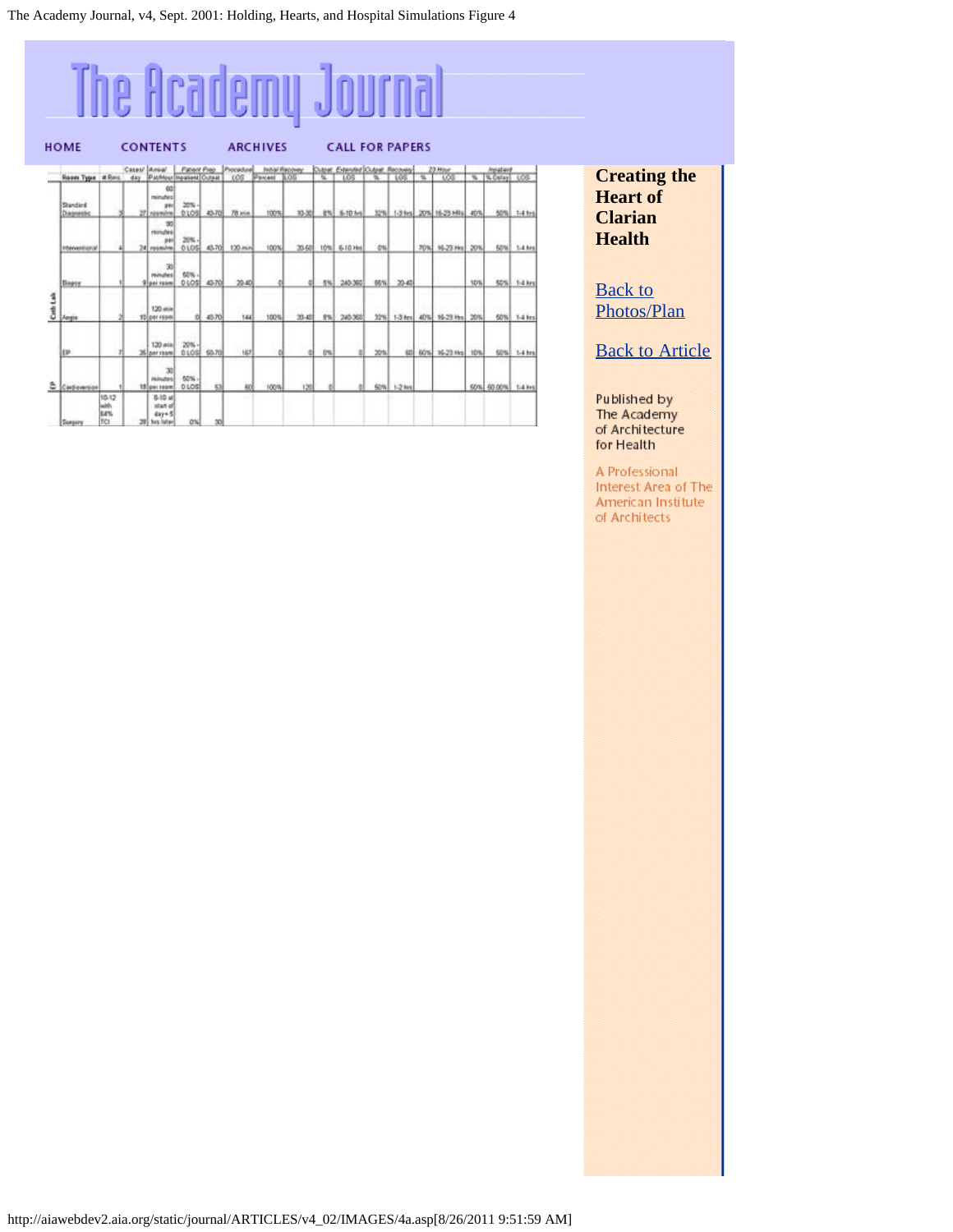## <span id="page-13-0"></span>The Academy Journal

|          | <b>HOME</b>            | <b>CONTENTS</b>              |                     |                                                    |                     |        | <b>ARCHIVES</b>  |         |                              |      | <b>CALL FOR PAPERS</b>   |           |             |     |                   |      |                          |             |
|----------|------------------------|------------------------------|---------------------|----------------------------------------------------|---------------------|--------|------------------|---------|------------------------------|------|--------------------------|-----------|-------------|-----|-------------------|------|--------------------------|-------------|
|          | Room Type # Rong       |                              | Cases/ Avea/<br>day | Patrician Inggrised Curaal                         | <b>Patient Prep</b> |        | Procedure<br>tos | Parcent | <b>Jedal Recover</b><br>1.05 |      | Dave Caused Oder Recorre |           |             | ÷   | <b>Hour</b><br>τœ | ᠼ    | Insation<br>N. Datay LCG |             |
|          | Standard<br>Diagnostic |                              |                     | 60<br>minutes<br>241<br>roomine                    | 20%<br>0105         | 43-70  | 78 pia           | 100%    | 10-30                        | 8%l  | <b>6-10 lin</b>          |           | 32% 1-3 hrs |     | 20% 16-23 HRs.    | AD/S | son.                     | $1.4$ kes   |
|          | Interventional         |                              |                     | œ<br>minubis<br>$+1$<br>34 rocesines               | 20%<br><b>OLOS</b>  | 40.708 | 130 min          | 100%    | 20.68                        | 10%! | 6.10 Hz                  | <b>ON</b> |             | 70% | 16-23 Hrs         | 20%  | spall                    | 1.4 km      |
|          | Diegory.               |                              |                     | 30<br>minutes<br><b>Siper room</b>                 | 60%<br>01055        | 43-70  | 20.40            |         |                              |      | 5% 240.360               | ossil     | 20-40       |     |                   | 10%  |                          | 50% 1-4 km  |
| Coth Lab | Angie                  |                              |                     | 120 min<br>10 per room                             | <b>DI</b>           | 45.70  | 144              | 100%    | 20.48                        |      | <b>B% 240.360</b>        |           | 32% 1-3 hrs | 40% | 16-23 Hzs         | 20%  |                          | 50% 1-4 km  |
|          | EP                     |                              |                     | $120$ ania.<br>26 per room                         | 20%<br>0105         | \$3.70 | 167              |         |                              | trs. |                          | 20%       | 425         |     | 60% 16-23 Hz 10%  |      |                          | 60% 1-4 hrs |
| Ξ        | Cardioversion          |                              |                     | 30<br><b>Philhodiani</b><br>12 get room            | 50%<br>0105         | 63     | 60 <sup></sup>   | 100%    | 120                          |      |                          |           | 50% 1-2 km  |     |                   |      | 50% 50,00% 1.4 km        |             |
|          | Surgery                | 10-12<br>with.<br>E4%<br>TCI |                     | B-10 at<br>start of<br>day+5<br><b>Burg Tigher</b> | O%                  | 30     |                  |         |                              |      |                          |           |             |     |                   |      |                          |             |

**Creating the Heart of Clarian Health**

**[Back to](#page-9-0)** [Photos/Plan](#page-9-0)

**[Back to Article](#page-7-0)** 

Published by The Academy of Architecture for Health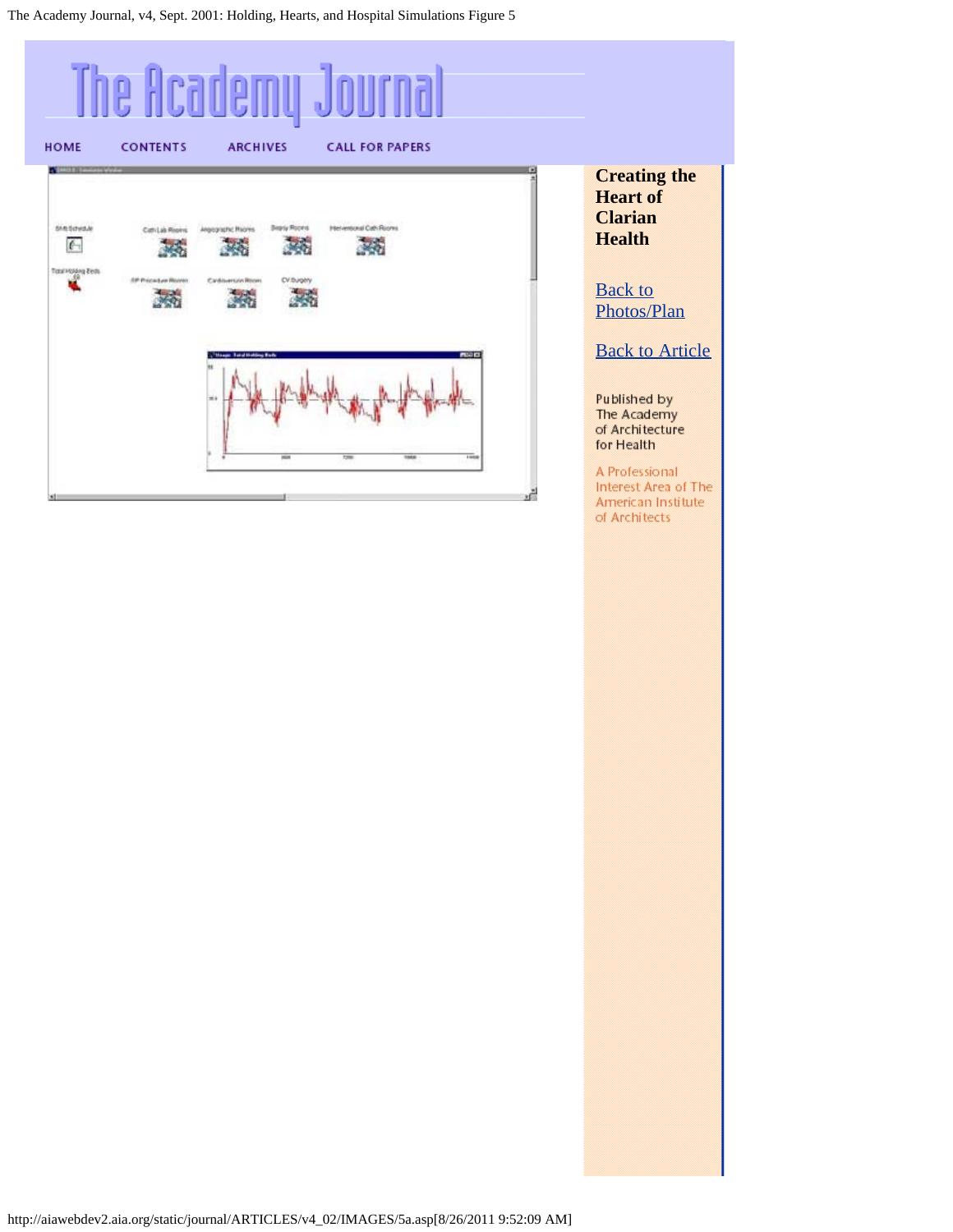<span id="page-14-0"></span>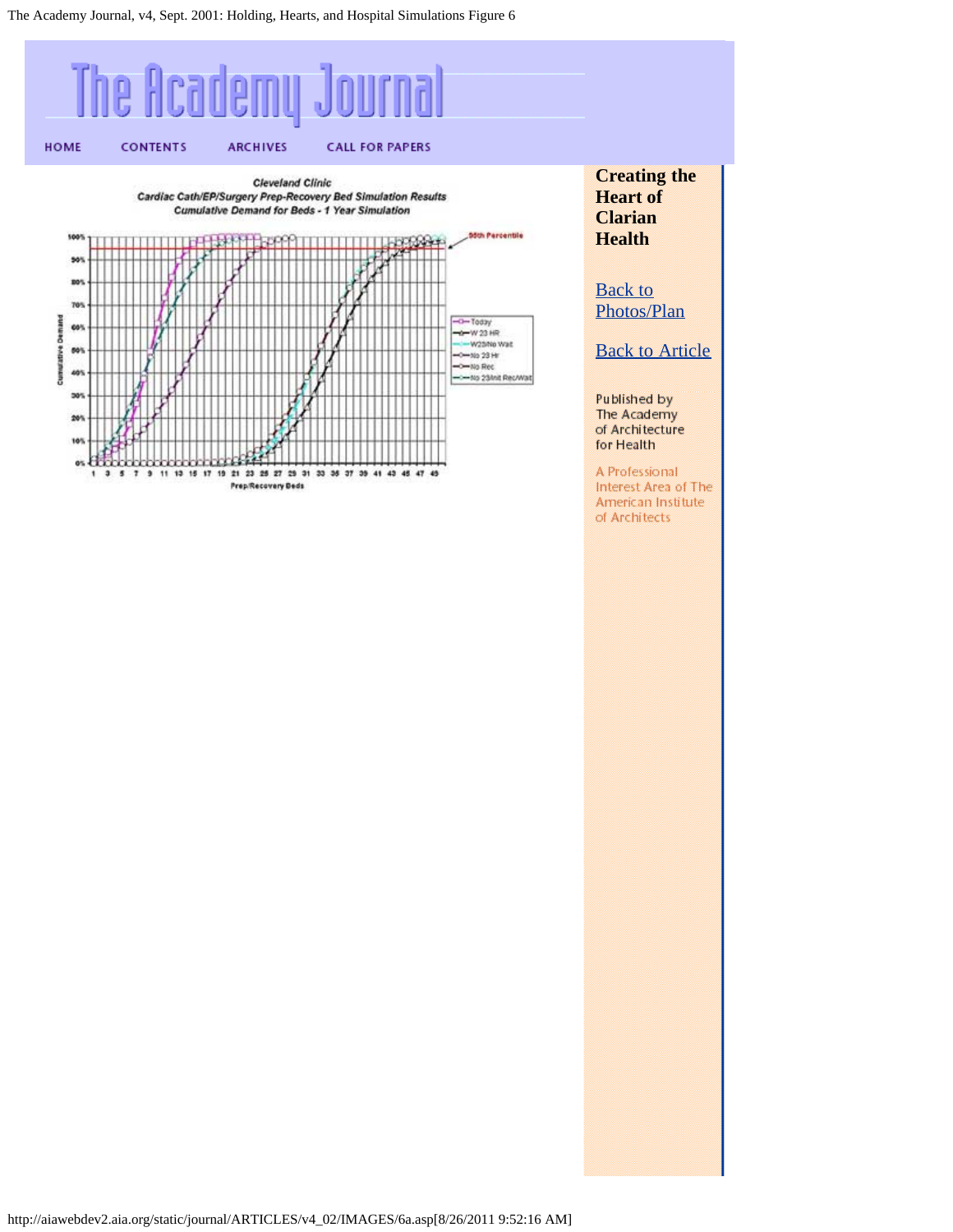<span id="page-15-0"></span>